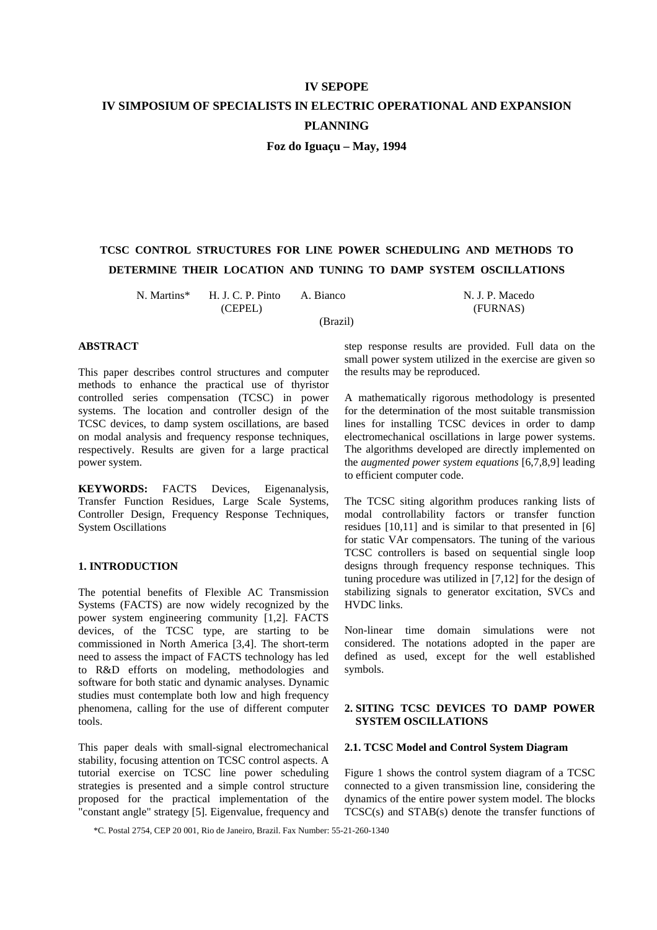# **IV SEPOPE IV SIMPOSIUM OF SPECIALISTS IN ELECTRIC OPERATIONAL AND EXPANSION PLANNING Foz do Iguaçu – May, 1994**

# **TCSC CONTROL STRUCTURES FOR LINE POWER SCHEDULING AND METHODS TO**

**DETERMINE THEIR LOCATION AND TUNING TO DAMP SYSTEM OSCILLATIONS** 

(Brazil)

N. Martins\* H. J. C. P. Pinto A. Bianco N. J. P. Macedo

(CEPEL) (FURNAS)

#### **ABSTRACT**

This paper describes control structures and computer methods to enhance the practical use of thyristor controlled series compensation (TCSC) in power systems. The location and controller design of the TCSC devices, to damp system oscillations, are based on modal analysis and frequency response techniques, respectively. Results are given for a large practical power system.

**KEYWORDS:** FACTS Devices, Eigenanalysis, Transfer Function Residues, Large Scale Systems, Controller Design, Frequency Response Techniques, System Oscillations

# **1. INTRODUCTION**

The potential benefits of Flexible AC Transmission Systems (FACTS) are now widely recognized by the power system engineering community [1,2]. FACTS devices, of the TCSC type, are starting to be commissioned in North America [3,4]. The short-term need to assess the impact of FACTS technology has led to R&D efforts on modeling, methodologies and software for both static and dynamic analyses. Dynamic studies must contemplate both low and high frequency phenomena, calling for the use of different computer tools.

This paper deals with small-signal electromechanical stability, focusing attention on TCSC control aspects. A tutorial exercise on TCSC line power scheduling strategies is presented and a simple control structure proposed for the practical implementation of the "constant angle" strategy [5]. Eigenvalue, frequency and

step response results are provided. Full data on the small power system utilized in the exercise are given so the results may be reproduced.

A mathematically rigorous methodology is presented for the determination of the most suitable transmission lines for installing TCSC devices in order to damp electromechanical oscillations in large power systems. The algorithms developed are directly implemented on the *augmented power system equations* [6,7,8,9] leading to efficient computer code.

The TCSC siting algorithm produces ranking lists of modal controllability factors or transfer function residues [10,11] and is similar to that presented in [6] for static VAr compensators. The tuning of the various TCSC controllers is based on sequential single loop designs through frequency response techniques. This tuning procedure was utilized in [7,12] for the design of stabilizing signals to generator excitation, SVCs and HVDC links.

Non-linear time domain simulations were not considered. The notations adopted in the paper are defined as used, except for the well established symbols.

# **2. SITING TCSC DEVICES TO DAMP POWER SYSTEM OSCILLATIONS**

# **2.1. TCSC Model and Control System Diagram**

Figure 1 shows the control system diagram of a TCSC connected to a given transmission line, considering the dynamics of the entire power system model. The blocks TCSC(s) and STAB(s) denote the transfer functions of

\*C. Postal 2754, CEP 20 001, Rio de Janeiro, Brazil. Fax Number: 55-21-260-1340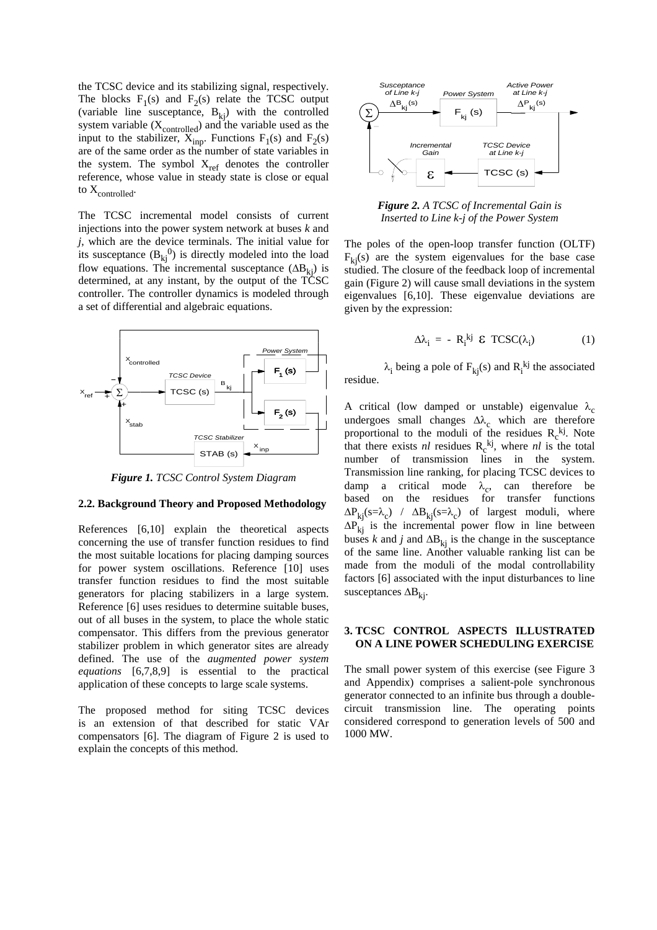the TCSC device and its stabilizing signal, respectively. The blocks  $F_1(s)$  and  $F_2(s)$  relate the TCSC output (variable line susceptance,  $B_{ki}$ ) with the controlled system variable  $(X_{\text{controlled}})$  and the variable used as the input to the stabilizer,  $X_{inp}$ . Functions  $F_1(s)$  and  $F_2(s)$ are of the same order as the number of state variables in the system. The symbol  $X_{ref}$  denotes the controller reference, whose value in steady state is close or equal to  $X_{\text{controlled}}$ .

The TCSC incremental model consists of current injections into the power system network at buses *k* and *j*, which are the device terminals. The initial value for its susceptance  $(B_{kj}^{\{0\}})$  is directly modeled into the load flow equations. The incremental susceptance  $(\Delta B_{ki})$  is determined, at any instant, by the output of the TCSC controller. The controller dynamics is modeled through a set of differential and algebraic equations.



*Figure 1. TCSC Control System Diagram* 

#### **2.2. Background Theory and Proposed Methodology**

References [6,10] explain the theoretical aspects concerning the use of transfer function residues to find the most suitable locations for placing damping sources for power system oscillations. Reference [10] uses transfer function residues to find the most suitable generators for placing stabilizers in a large system. Reference [6] uses residues to determine suitable buses, out of all buses in the system, to place the whole static compensator. This differs from the previous generator stabilizer problem in which generator sites are already defined. The use of the *augmented power system equations* [6,7,8,9] is essential to the practical application of these concepts to large scale systems.

The proposed method for siting TCSC devices is an extension of that described for static VAr compensators [6]. The diagram of Figure 2 is used to explain the concepts of this method.



*Figure 2. A TCSC of Incremental Gain is Inserted to Line k-j of the Power System* 

The poles of the open-loop transfer function (OLTF)  $F_{ki}(s)$  are the system eigenvalues for the base case studied. The closure of the feedback loop of incremental gain (Figure 2) will cause small deviations in the system eigenvalues [6,10]. These eigenvalue deviations are given by the expression:

$$
\Delta \lambda_i = - R_i^{kj} \mathcal{E} TCSC(\lambda_i)
$$
 (1)

 $\lambda_i$  being a pole of  $F_{kj}(s)$  and  $R_i^{kj}$  the associated residue.

A critical (low damped or unstable) eigenvalue  $\lambda_c$ undergoes small changes  $\Delta\lambda_c$  which are therefore proportional to the moduli of the residues  $R_c^{kj}$ . Note that there exists  $nl$  residues  $R_c^{kj}$ , where  $nl$  is the total number of transmission lines in the system. Transmission line ranking, for placing TCSC devices to damp a critical mode  $\lambda_c$ , can therefore be based on the residues for transfer functions based on the residues  $\Delta P_{ki}(s=\lambda_c)$  /  $\Delta B_{ki}(s=\lambda_c)$  of largest moduli, where  $\Delta P_{ki}$  is the incremental power flow in line between buses *k* and *j* and  $\Delta B_{ki}$  is the change in the susceptance of the same line. Another valuable ranking list can be made from the moduli of the modal controllability factors [6] associated with the input disturbances to line susceptances  $\Delta B_{ki}$ .

#### **3. TCSC CONTROL ASPECTS ILLUSTRATED ON A LINE POWER SCHEDULING EXERCISE**

The small power system of this exercise (see Figure 3 and Appendix) comprises a salient-pole synchronous generator connected to an infinite bus through a doublecircuit transmission line. The operating points considered correspond to generation levels of 500 and 1000 MW.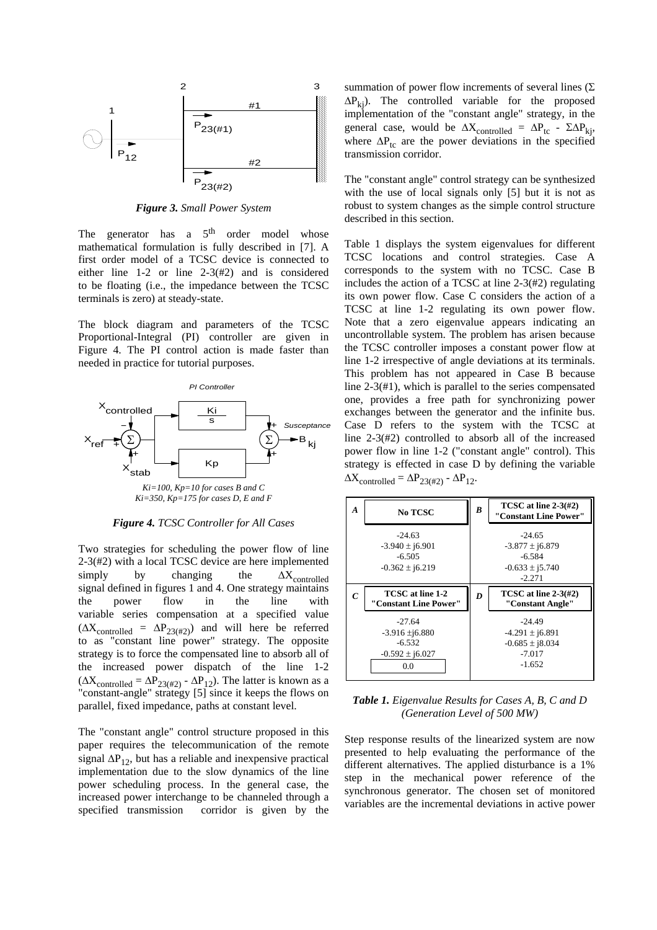

*Figure 3. Small Power System* 

The generator has a 5<sup>th</sup> order model whose mathematical formulation is fully described in [7]. A first order model of a TCSC device is connected to either line 1-2 or line 2-3(#2) and is considered to be floating (i.e., the impedance between the TCSC terminals is zero) at steady-state.

The block diagram and parameters of the TCSC Proportional-Integral (PI) controller are given in Figure 4. The PI control action is made faster than needed in practice for tutorial purposes.



*Figure 4. TCSC Controller for All Cases* 

Two strategies for scheduling the power flow of line 2-3(#2) with a local TCSC device are here implemented  $\text{simply}$  by changing the  $\Delta X_{\text{controlled}}$  signal defined in figures 1 and 4. One strategy maintains the power flow in the line with variable series compensation at a specified value  $(\Delta X_{\text{controlled}} = \Delta P_{23(\#2)})$  and will here be referred to as "constant line power" strategy. The opposite strategy is to force the compensated line to absorb all of the increased power dispatch of the line 1-2  $(\Delta X_{\text{controlled}} = \Delta P_{23(\#2)} - \Delta P_{12})$ . The latter is known as a "constant-angle" strategy  $[5]$  since it keeps the flows on parallel, fixed impedance, paths at constant level.

The "constant angle" control structure proposed in this paper requires the telecommunication of the remote signal  $\Delta P_{12}$ , but has a reliable and inexpensive practical implementation due to the slow dynamics of the line power scheduling process. In the general case, the increased power interchange to be channeled through a specified transmission corridor is given by the summation of power flow increments of several lines  $(\Sigma)$  $\Delta P_{ki}$ ). The controlled variable for the proposed implementation of the "constant angle" strategy, in the general case, would be  $\Delta X_{\text{controlled}} = \Delta P_{\text{tc}} - \Sigma \Delta P_{\text{kj}}$ , where  $\Delta P_{\text{tc}}$  are the power deviations in the specified transmission corridor.

The "constant angle" control strategy can be synthesized with the use of local signals only [5] but it is not as robust to system changes as the simple control structure described in this section.

Table 1 displays the system eigenvalues for different TCSC locations and control strategies. Case A corresponds to the system with no TCSC. Case B includes the action of a TCSC at line 2-3(#2) regulating its own power flow. Case C considers the action of a TCSC at line 1-2 regulating its own power flow. Note that a zero eigenvalue appears indicating an uncontrollable system. The problem has arisen because the TCSC controller imposes a constant power flow at line 1-2 irrespective of angle deviations at its terminals. This problem has not appeared in Case B because line 2-3(#1), which is parallel to the series compensated one, provides a free path for synchronizing power exchanges between the generator and the infinite bus. Case D refers to the system with the TCSC at line 2-3(#2) controlled to absorb all of the increased power flow in line 1-2 ("constant angle" control). This strategy is effected in case D by defining the variable  $\Delta X_{\text{controlled}} = \Delta P_{23(\#2)} - \Delta P_{12}.$ 



*Table 1. Eigenvalue Results for Cases A, B, C and D (Generation Level of 500 MW)*

Step response results of the linearized system are now presented to help evaluating the performance of the different alternatives. The applied disturbance is a 1% step in the mechanical power reference of the synchronous generator. The chosen set of monitored variables are the incremental deviations in active power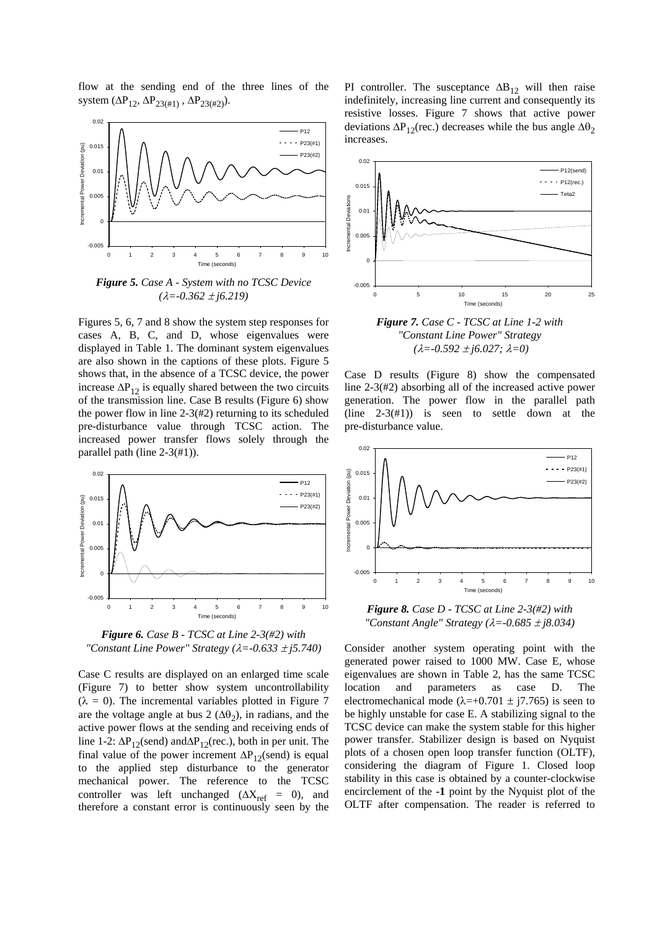flow at the sending end of the three lines of the system ( $\Delta P_{12}$ ,  $\Delta P_{23(\#1)}$ ,  $\Delta P_{23(\#2)}$ ).



*Figure 5. Case A - System with no TCSC Device*   $(\lambda = -0.362 \pm i6.219)$ 

Figures 5, 6, 7 and 8 show the system step responses for cases A, B, C, and D, whose eigenvalues were displayed in Table 1. The dominant system eigenvalues are also shown in the captions of these plots. Figure 5 shows that, in the absence of a TCSC device, the power increase  $\Delta P_{12}$  is equally shared between the two circuits of the transmission line. Case B results (Figure 6) show the power flow in line 2-3(#2) returning to its scheduled pre-disturbance value through TCSC action. The increased power transfer flows solely through the parallel path (line 2-3(#1)).



*Figure 6. Case B - TCSC at Line 2-3(#2) with "Constant Line Power" Strategy (*λ*=-0.633* ± *j5.740)*

Case C results are displayed on an enlarged time scale (Figure 7) to better show system uncontrollability  $(\lambda = 0)$ . The incremental variables plotted in Figure 7 are the voltage angle at bus 2 ( $\Delta\theta_2$ ), in radians, and the active power flows at the sending and receiving ends of line 1-2:  $\Delta P_{12}$ (send) and $\Delta P_{12}$ (rec.), both in per unit. The final value of the power increment  $\Delta P_{12}$ (send) is equal to the applied step disturbance to the generator mechanical power. The reference to the TCSC controller was left unchanged ( $\Delta X_{ref}$  = 0), and therefore a constant error is continuously seen by the

PI controller. The susceptance  $\Delta B_{12}$  will then raise indefinitely, increasing line current and consequently its resistive losses. Figure 7 shows that active power deviations  $\Delta P_{12}$ (rec.) decreases while the bus angle  $\Delta\theta_2$ increases.



*Figure 7. Case C - TCSC at Line 1-2 with "Constant Line Power" Strategy (*λ*=-0.592* ± *j6.027;* λ*=0)*

Case D results (Figure 8) show the compensated line 2-3(#2) absorbing all of the increased active power generation. The power flow in the parallel path (line  $2-3(\#1)$ ) is seen to settle down at the pre-disturbance value.



*Figure 8. Case D - TCSC at Line 2-3(#2) with "Constant Angle" Strategy (*λ*=-0.685* ± *j8.034)*

Consider another system operating point with the generated power raised to 1000 MW. Case E, whose eigenvalues are shown in Table 2, has the same TCSC location and parameters as case D. The electromechanical mode ( $\lambda$ =+0.701 ± j7.765) is seen to be highly unstable for case E. A stabilizing signal to the TCSC device can make the system stable for this higher power transfer. Stabilizer design is based on Nyquist plots of a chosen open loop transfer function (OLTF), considering the diagram of Figure 1. Closed loop stability in this case is obtained by a counter-clockwise encirclement of the **-1** point by the Nyquist plot of the OLTF after compensation. The reader is referred to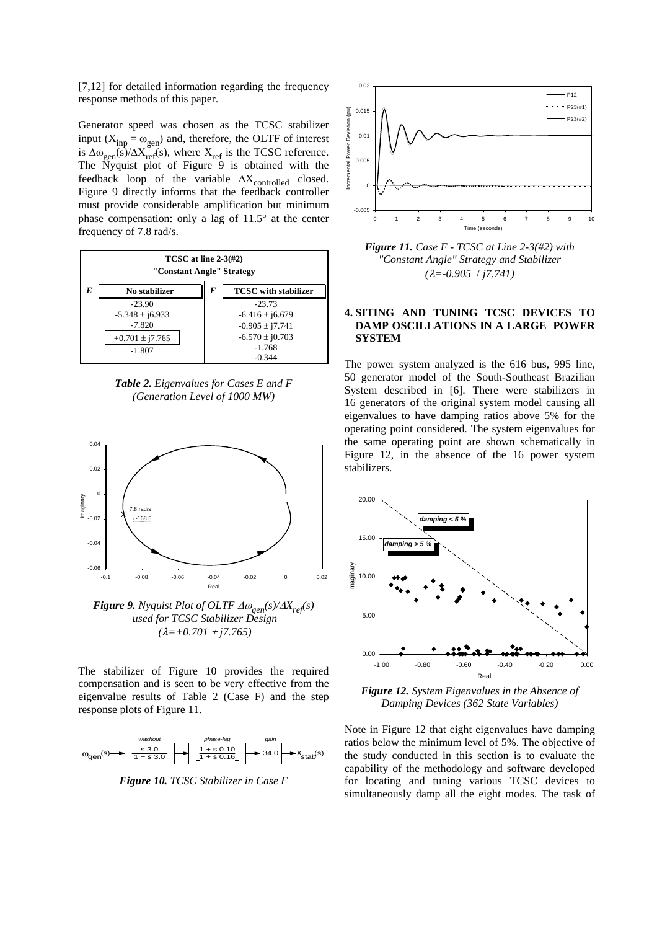[7,12] for detailed information regarding the frequency response methods of this paper.

Generator speed was chosen as the TCSC stabilizer input ( $X_{inp} = \omega_{gen}$ ) and, therefore, the OLTF of interest is  $\Delta\omega_{gen}(s)/\Delta X_{ref}$  (s), where  $X_{ref}$  is the TCSC reference. The Nyquist plot of Figure  $9$  is obtained with the feedback loop of the variable  $\Delta X_{\rm controlled}$  closed. Figure 9 directly informs that the feedback controller must provide considerable amplification but minimum phase compensation: only a lag of 11.5° at the center frequency of 7.8 rad/s.

| TCSC at line $2-3(\#2)$<br>"Constant Angle" Strategy |                     |   |                             |
|------------------------------------------------------|---------------------|---|-----------------------------|
| E                                                    | No stabilizer       | F | <b>TCSC</b> with stabilizer |
|                                                      | $-23.90$            |   | $-23.73$                    |
|                                                      | $-5.348 \pm i6.933$ |   | $-6.416 \pm i6.679$         |
|                                                      | $-7.820$            |   | $-0.905 \pm i7.741$         |
|                                                      | $+0.701 \pm i7.765$ |   | $-6.570 \pm i0.703$         |
| $-1.807$                                             |                     |   | $-1.768$                    |
|                                                      |                     |   | $-0.344$                    |

*Table 2. Eigenvalues for Cases E and F (Generation Level of 1000 MW)*



 *used for TCSC Stabilizer Design (*λ*=+0.701* ± *j7.765)*

The stabilizer of Figure 10 provides the required compensation and is seen to be very effective from the eigenvalue results of Table 2 (Case F) and the step response plots of Figure 11.



*Figure 10. TCSC Stabilizer in Case F* 



*Figure 11. Case F - TCSC at Line 2-3(#2) with "Constant Angle" Strategy and Stabilizer (*λ*=-0.905* ± *j7.741)*

#### **4. SITING AND TUNING TCSC DEVICES TO DAMP OSCILLATIONS IN A LARGE POWER SYSTEM**

The power system analyzed is the 616 bus, 995 line, 50 generator model of the South-Southeast Brazilian System described in [6]. There were stabilizers in 16 generators of the original system model causing all eigenvalues to have damping ratios above 5% for the operating point considered. The system eigenvalues for the same operating point are shown schematically in Figure 12, in the absence of the 16 power system stabilizers.



*Figure 12. System Eigenvalues in the Absence of Damping Devices (362 State Variables)*

Note in Figure 12 that eight eigenvalues have damping ratios below the minimum level of 5%. The objective of the study conducted in this section is to evaluate the capability of the methodology and software developed for locating and tuning various TCSC devices to simultaneously damp all the eight modes. The task of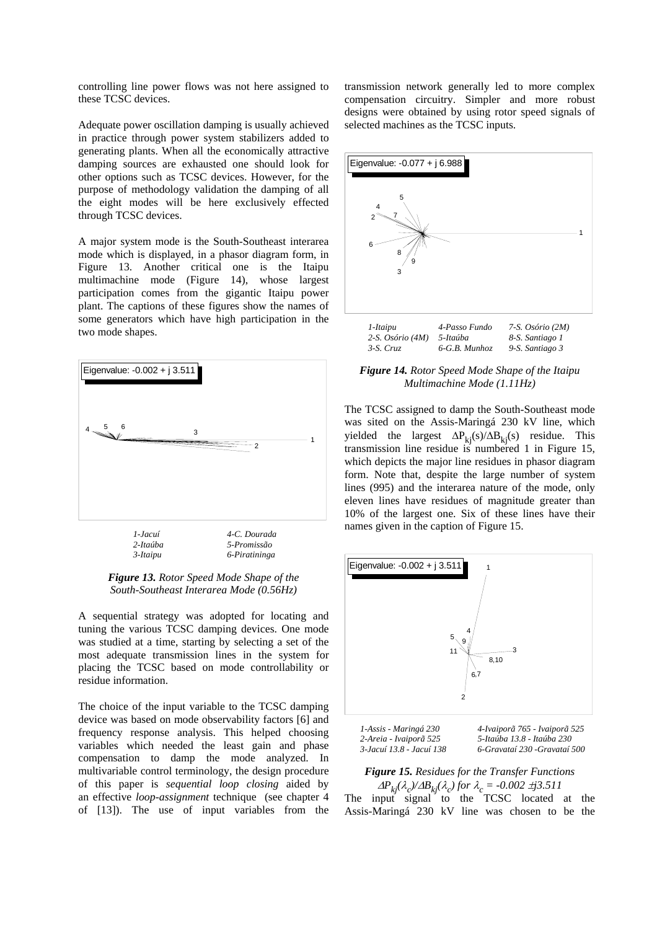controlling line power flows was not here assigned to these TCSC devices.

Adequate power oscillation damping is usually achieved in practice through power system stabilizers added to generating plants. When all the economically attractive damping sources are exhausted one should look for other options such as TCSC devices. However, for the purpose of methodology validation the damping of all the eight modes will be here exclusively effected through TCSC devices.

A major system mode is the South-Southeast interarea mode which is displayed, in a phasor diagram form, in Figure 13. Another critical one is the Itaipu multimachine mode (Figure 14), whose largest participation comes from the gigantic Itaipu power plant. The captions of these figures show the names of some generators which have high participation in the two mode shapes.



*Figure 13. Rotor Speed Mode Shape of the South-Southeast Interarea Mode (0.56Hz)*

A sequential strategy was adopted for locating and tuning the various TCSC damping devices. One mode was studied at a time, starting by selecting a set of the most adequate transmission lines in the system for placing the TCSC based on mode controllability or residue information.

The choice of the input variable to the TCSC damping device was based on mode observability factors [6] and frequency response analysis. This helped choosing variables which needed the least gain and phase compensation to damp the mode analyzed. In multivariable control terminology, the design procedure of this paper is *sequential loop closing* aided by an effective *loop-assignment* technique (see chapter 4 of [13]). The use of input variables from the

transmission network generally led to more complex compensation circuitry. Simpler and more robust designs were obtained by using rotor speed signals of selected machines as the TCSC inputs.



*Figure 14. Rotor Speed Mode Shape of the Itaipu Multimachine Mode (1.11Hz)* 

The TCSC assigned to damp the South-Southeast mode was sited on the Assis-Maringá 230 kV line, which yielded the largest  $\Delta P_{ki}(s)/\Delta B_{ki}(s)$  residue. This transmission line residue is numbered 1 in Figure 15, which depicts the major line residues in phasor diagram form. Note that, despite the large number of system lines (995) and the interarea nature of the mode, only eleven lines have residues of magnitude greater than 10% of the largest one. Six of these lines have their names given in the caption of Figure 15.



*1-Assis - Maringá 230 4-Ivaiporã 765 - Ivaiporã 525 2-Areia - Ivaiporã 525 5-Itaúba 13.8 - Itaúba 230 3-Jacuí 13.8 - Jacuí 138 6-Gravataí 230 -Gravataí 500* 

# *Figure 15. Residues for the Transfer Functions*

<sup>∆</sup>*Pkj(*λ*c)/*∆*Bkj(*λ*c) for* <sup>λ</sup>*c = -0.002* ±*j3.511*  The input signal to the TCSC located at the Assis-Maringá 230 kV line was chosen to be the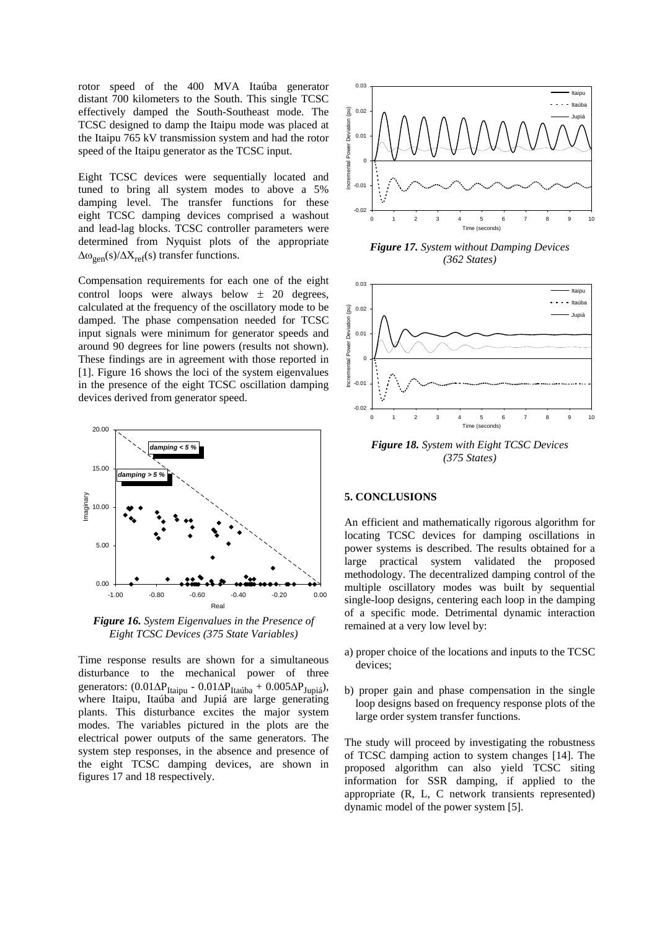rotor speed of the 400 MVA Itaúba generator distant 700 kilometers to the South. This single TCSC effectively damped the South-Southeast mode. The TCSC designed to damp the Itaipu mode was placed at the Itaipu 765 kV transmission system and had the rotor speed of the Itaipu generator as the TCSC input.

Eight TCSC devices were sequentially located and tuned to bring all system modes to above a 5% damping level. The transfer functions for these eight TCSC damping devices comprised a washout and lead-lag blocks. TCSC controller parameters were determined from Nyquist plots of the appropriate  $\Delta\omega_{\text{gen}}(s)/\Delta X_{\text{ref}}(s)$  transfer functions.

Compensation requirements for each one of the eight control loops were always below  $\pm$  20 degrees, calculated at the frequency of the oscillatory mode to be damped. The phase compensation needed for TCSC input signals were minimum for generator speeds and around 90 degrees for line powers (results not shown). These findings are in agreement with those reported in [1]. Figure 16 shows the loci of the system eigenvalues in the presence of the eight TCSC oscillation damping devices derived from generator speed.



*Figure 16. System Eigenvalues in the Presence of Eight TCSC Devices (375 State Variables)*

Time response results are shown for a simultaneous disturbance to the mechanical power of three generators: (0.01∆P<sub>Itaipu</sub> - 0.01∆P<sub>Itaúba</sub> + 0.005∆P<sub>Jupiá</sub>), where Itaipu, Itaúba and Jupiá are large generating plants. This disturbance excites the major system modes. The variables pictured in the plots are the electrical power outputs of the same generators. The system step responses, in the absence and presence of the eight TCSC damping devices, are shown in figures 17 and 18 respectively.



*Figure 17. System without Damping Devices (362 States)*



#### **5. CONCLUSIONS**

An efficient and mathematically rigorous algorithm for locating TCSC devices for damping oscillations in power systems is described. The results obtained for a large practical system validated the proposed methodology. The decentralized damping control of the multiple oscillatory modes was built by sequential single-loop designs, centering each loop in the damping of a specific mode. Detrimental dynamic interaction remained at a very low level by:

- a) proper choice of the locations and inputs to the TCSC devices;
- b) proper gain and phase compensation in the single loop designs based on frequency response plots of the large order system transfer functions.

The study will proceed by investigating the robustness of TCSC damping action to system changes [14]. The proposed algorithm can also yield TCSC siting information for SSR damping, if applied to the appropriate (R, L, C network transients represented) dynamic model of the power system [5].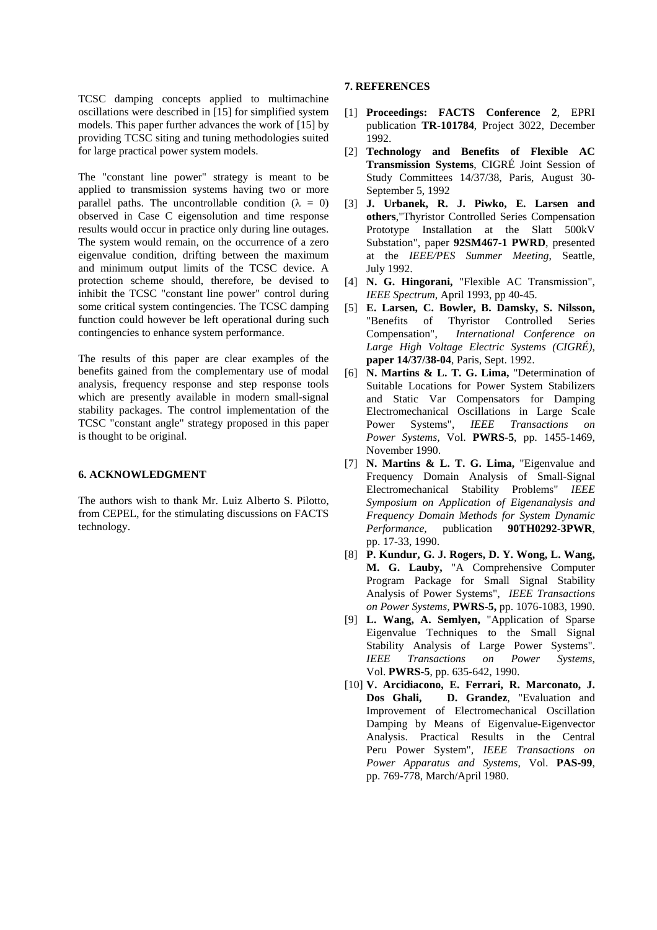TCSC damping concepts applied to multimachine oscillations were described in [15] for simplified system models. This paper further advances the work of [15] by providing TCSC siting and tuning methodologies suited for large practical power system models.

The "constant line power" strategy is meant to be applied to transmission systems having two or more parallel paths. The uncontrollable condition ( $\lambda = 0$ ) observed in Case C eigensolution and time response results would occur in practice only during line outages. The system would remain, on the occurrence of a zero eigenvalue condition, drifting between the maximum and minimum output limits of the TCSC device. A protection scheme should, therefore, be devised to inhibit the TCSC "constant line power" control during some critical system contingencies. The TCSC damping function could however be left operational during such contingencies to enhance system performance.

The results of this paper are clear examples of the benefits gained from the complementary use of modal analysis, frequency response and step response tools which are presently available in modern small-signal stability packages. The control implementation of the TCSC "constant angle" strategy proposed in this paper is thought to be original.

#### **6. ACKNOWLEDGMENT**

The authors wish to thank Mr. Luiz Alberto S. Pilotto, from CEPEL, for the stimulating discussions on FACTS technology.

# **7. REFERENCES**

- [1] **Proceedings: FACTS Conference 2**, EPRI publication **TR-101784**, Project 3022, December 1992.
- [2] **Technology and Benefits of Flexible AC Transmission Systems**, CIGRÉ Joint Session of Study Committees 14/37/38, Paris, August 30- September 5, 1992
- [3] **J. Urbanek, R. J. Piwko, E. Larsen and others**,"Thyristor Controlled Series Compensation Prototype Installation at the Slatt 500kV Substation", paper **92SM467-1 PWRD**, presented at the *IEEE/PES Summer Meeting*, Seattle, July 1992.
- [4] **N. G. Hingorani,** "Flexible AC Transmission", *IEEE Spectrum*, April 1993, pp 40-45.
- [5] **E. Larsen, C. Bowler, B. Damsky, S. Nilsson,**  "Benefits of Thyristor Controlled Series<br>Compensation". *International Conference on* Compensation", *International Conference on Large High Voltage Electric Systems (CIGRÉ)*, **paper 14/37/38-04**, Paris, Sept. 1992.
- [6] **N. Martins & L. T. G. Lima,** "Determination of Suitable Locations for Power System Stabilizers and Static Var Compensators for Damping Electromechanical Oscillations in Large Scale Power Systems", *IEEE Transactions on Power Systems,* Vol. **PWRS-5**, pp. 1455-1469, November 1990.
- [7] **N. Martins & L. T. G. Lima,** "Eigenvalue and Frequency Domain Analysis of Small-Signal Electromechanical Stability Problems" *IEEE Symposium on Application of Eigenanalysis and Frequency Domain Methods for System Dynamic Performance,* publication **90TH0292-3PWR**, pp. 17-33, 1990.
- [8] **P. Kundur, G. J. Rogers, D. Y. Wong, L. Wang, M. G. Lauby,** "A Comprehensive Computer Program Package for Small Signal Stability Analysis of Power Systems", *IEEE Transactions on Power Systems,* **PWRS-5,** pp. 1076-1083, 1990.
- [9] **L. Wang, A. Semlyen,** "Application of Sparse Eigenvalue Techniques to the Small Signal Stability Analysis of Large Power Systems". *IEEE Transactions on Power Systems*, Vol. **PWRS-5**, pp. 635-642, 1990.
- [10] **V. Arcidiacono, E. Ferrari, R. Marconato, J. Dos Ghali, D. Grandez**, "Evaluation and Improvement of Electromechanical Oscillation Damping by Means of Eigenvalue-Eigenvector Analysis. Practical Results in the Central Peru Power System"*, IEEE Transactions on Power Apparatus and Systems,* Vol. **PAS-99**, pp. 769-778, March/April 1980.